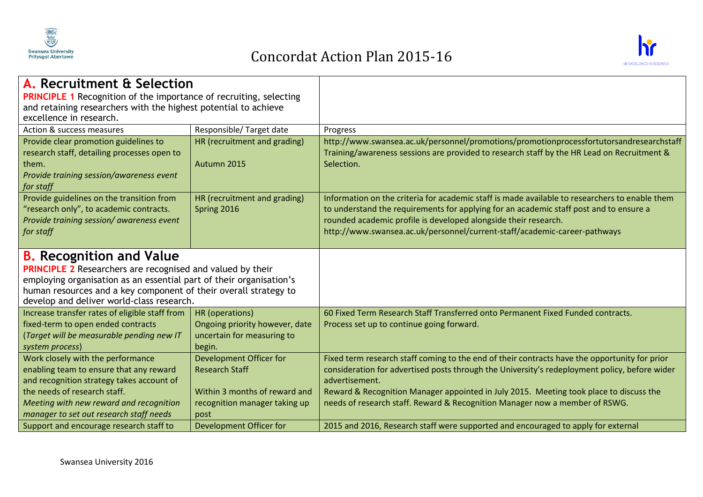

## Concordat Action Plan 2015-16



| A. Recruitment & Selection<br><b>PRINCIPLE 1</b> Recognition of the importance of recruiting, selecting<br>and retaining researchers with the highest potential to achieve<br>excellence in research.                                                                                        |                                                                                                                            |                                                                                                                                                                                                                                                                                                                                                                                           |
|----------------------------------------------------------------------------------------------------------------------------------------------------------------------------------------------------------------------------------------------------------------------------------------------|----------------------------------------------------------------------------------------------------------------------------|-------------------------------------------------------------------------------------------------------------------------------------------------------------------------------------------------------------------------------------------------------------------------------------------------------------------------------------------------------------------------------------------|
| Action & success measures                                                                                                                                                                                                                                                                    | Responsible/Target date                                                                                                    | Progress                                                                                                                                                                                                                                                                                                                                                                                  |
| Provide clear promotion guidelines to<br>research staff, detailing processes open to<br>them.<br>Provide training session/awareness event<br>for staff                                                                                                                                       | HR (recruitment and grading)<br>Autumn 2015                                                                                | http://www.swansea.ac.uk/personnel/promotions/promotionprocessfortutorsandresearchstaff<br>Training/awareness sessions are provided to research staff by the HR Lead on Recruitment &<br>Selection.                                                                                                                                                                                       |
| Provide guidelines on the transition from<br>"research only", to academic contracts.<br>Provide training session/awareness event<br>for staff                                                                                                                                                | HR (recruitment and grading)<br>Spring 2016                                                                                | Information on the criteria for academic staff is made available to researchers to enable them<br>to understand the requirements for applying for an academic staff post and to ensure a<br>rounded academic profile is developed alongside their research.<br>http://www.swansea.ac.uk/personnel/current-staff/academic-career-pathways                                                  |
| <b>B.</b> Recognition and Value<br><b>PRINCIPLE 2</b> Researchers are recognised and valued by their<br>employing organisation as an essential part of their organisation's<br>human resources and a key component of their overall strategy to<br>develop and deliver world-class research. |                                                                                                                            |                                                                                                                                                                                                                                                                                                                                                                                           |
| Increase transfer rates of eligible staff from<br>fixed-term to open ended contracts<br>(Target will be measurable pending new IT<br>system process)                                                                                                                                         | HR (operations)<br>Ongoing priority however, date<br>uncertain for measuring to<br>begin.                                  | 60 Fixed Term Research Staff Transferred onto Permanent Fixed Funded contracts.<br>Process set up to continue going forward.                                                                                                                                                                                                                                                              |
| Work closely with the performance<br>enabling team to ensure that any reward<br>and recognition strategy takes account of<br>the needs of research staff.<br>Meeting with new reward and recognition<br>manager to set out research staff needs                                              | Development Officer for<br><b>Research Staff</b><br>Within 3 months of reward and<br>recognition manager taking up<br>post | Fixed term research staff coming to the end of their contracts have the opportunity for prior<br>consideration for advertised posts through the University's redeployment policy, before wider<br>advertisement.<br>Reward & Recognition Manager appointed in July 2015. Meeting took place to discuss the<br>needs of research staff. Reward & Recognition Manager now a member of RSWG. |
| Support and encourage research staff to                                                                                                                                                                                                                                                      | Development Officer for                                                                                                    | 2015 and 2016, Research staff were supported and encouraged to apply for external                                                                                                                                                                                                                                                                                                         |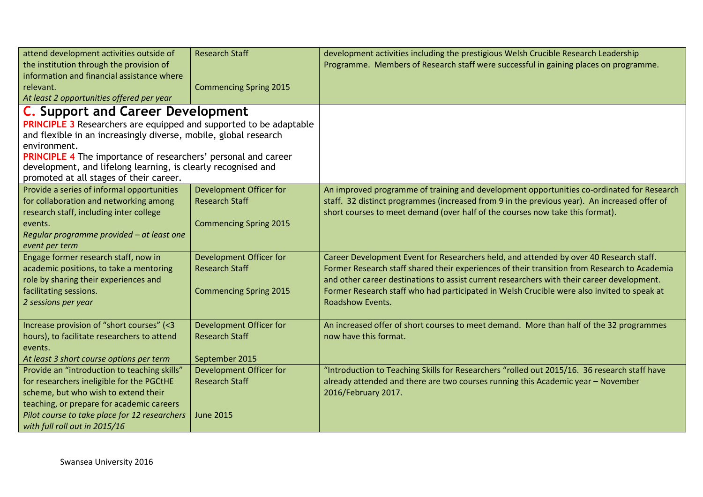| attend development activities outside of                                         | <b>Research Staff</b>                            | development activities including the prestigious Welsh Crucible Research Leadership                                                                                                        |
|----------------------------------------------------------------------------------|--------------------------------------------------|--------------------------------------------------------------------------------------------------------------------------------------------------------------------------------------------|
| the institution through the provision of                                         |                                                  | Programme. Members of Research staff were successful in gaining places on programme.                                                                                                       |
| information and financial assistance where                                       |                                                  |                                                                                                                                                                                            |
| relevant.                                                                        | <b>Commencing Spring 2015</b>                    |                                                                                                                                                                                            |
| At least 2 opportunities offered per year                                        |                                                  |                                                                                                                                                                                            |
| <b>C.</b> Support and Career Development                                         |                                                  |                                                                                                                                                                                            |
| <b>PRINCIPLE 3</b> Researchers are equipped and supported to be adaptable        |                                                  |                                                                                                                                                                                            |
| and flexible in an increasingly diverse, mobile, global research                 |                                                  |                                                                                                                                                                                            |
| environment.                                                                     |                                                  |                                                                                                                                                                                            |
| <b>PRINCIPLE 4</b> The importance of researchers' personal and career            |                                                  |                                                                                                                                                                                            |
| development, and lifelong learning, is clearly recognised and                    |                                                  |                                                                                                                                                                                            |
| promoted at all stages of their career.                                          |                                                  |                                                                                                                                                                                            |
| Provide a series of informal opportunities                                       | Development Officer for                          | An improved programme of training and development opportunities co-ordinated for Research                                                                                                  |
| for collaboration and networking among                                           | <b>Research Staff</b>                            | staff. 32 distinct programmes (increased from 9 in the previous year). An increased offer of                                                                                               |
| research staff, including inter college                                          |                                                  | short courses to meet demand (over half of the courses now take this format).                                                                                                              |
| events.                                                                          | <b>Commencing Spring 2015</b>                    |                                                                                                                                                                                            |
| Regular programme provided - at least one                                        |                                                  |                                                                                                                                                                                            |
| event per term                                                                   |                                                  |                                                                                                                                                                                            |
| Engage former research staff, now in                                             | Development Officer for<br><b>Research Staff</b> | Career Development Event for Researchers held, and attended by over 40 Research staff.                                                                                                     |
| academic positions, to take a mentoring<br>role by sharing their experiences and |                                                  | Former Research staff shared their experiences of their transition from Research to Academia<br>and other career destinations to assist current researchers with their career development. |
| facilitating sessions.                                                           | <b>Commencing Spring 2015</b>                    | Former Research staff who had participated in Welsh Crucible were also invited to speak at                                                                                                 |
| 2 sessions per year                                                              |                                                  | Roadshow Events.                                                                                                                                                                           |
|                                                                                  |                                                  |                                                                                                                                                                                            |
| Increase provision of "short courses" (<3                                        | <b>Development Officer for</b>                   | An increased offer of short courses to meet demand. More than half of the 32 programmes                                                                                                    |
| hours), to facilitate researchers to attend                                      | <b>Research Staff</b>                            | now have this format.                                                                                                                                                                      |
| events.                                                                          |                                                  |                                                                                                                                                                                            |
| At least 3 short course options per term                                         | September 2015                                   |                                                                                                                                                                                            |
| Provide an "introduction to teaching skills"                                     | Development Officer for                          | "Introduction to Teaching Skills for Researchers "rolled out 2015/16. 36 research staff have                                                                                               |
| for researchers ineligible for the PGCtHE                                        | <b>Research Staff</b>                            | already attended and there are two courses running this Academic year - November                                                                                                           |
| scheme, but who wish to extend their                                             |                                                  | 2016/February 2017.                                                                                                                                                                        |
| teaching, or prepare for academic careers                                        |                                                  |                                                                                                                                                                                            |
| Pilot course to take place for 12 researchers                                    | <b>June 2015</b>                                 |                                                                                                                                                                                            |
| with full roll out in 2015/16                                                    |                                                  |                                                                                                                                                                                            |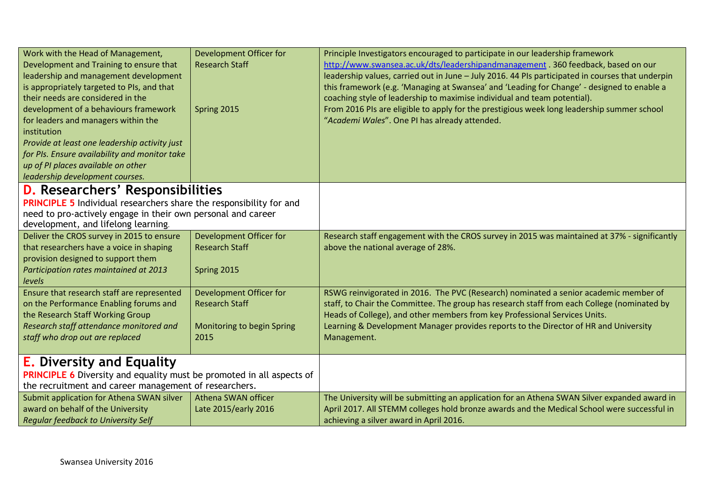| Work with the Head of Management,<br>Development and Training to ensure that<br>leadership and management development<br>is appropriately targeted to PIs, and that<br>their needs are considered in the<br>development of a behaviours framework<br>for leaders and managers within the<br>institution<br>Provide at least one leadership activity just<br>for PIs. Ensure availability and monitor take<br>up of PI places available on other<br>leadership development courses. | Development Officer for<br><b>Research Staff</b><br>Spring 2015 | Principle Investigators encouraged to participate in our leadership framework<br>http://www.swansea.ac.uk/dts/leadershipandmanagement . 360 feedback, based on our<br>leadership values, carried out in June - July 2016. 44 PIs participated in courses that underpin<br>this framework (e.g. 'Managing at Swansea' and 'Leading for Change' - designed to enable a<br>coaching style of leadership to maximise individual and team potential).<br>From 2016 PIs are eligible to apply for the prestigious week long leadership summer school<br>"Academi Wales". One PI has already attended. |
|------------------------------------------------------------------------------------------------------------------------------------------------------------------------------------------------------------------------------------------------------------------------------------------------------------------------------------------------------------------------------------------------------------------------------------------------------------------------------------|-----------------------------------------------------------------|-------------------------------------------------------------------------------------------------------------------------------------------------------------------------------------------------------------------------------------------------------------------------------------------------------------------------------------------------------------------------------------------------------------------------------------------------------------------------------------------------------------------------------------------------------------------------------------------------|
| <b>D.</b> Researchers' Responsibilities                                                                                                                                                                                                                                                                                                                                                                                                                                            |                                                                 |                                                                                                                                                                                                                                                                                                                                                                                                                                                                                                                                                                                                 |
| <b>PRINCIPLE 5</b> Individual researchers share the responsibility for and                                                                                                                                                                                                                                                                                                                                                                                                         |                                                                 |                                                                                                                                                                                                                                                                                                                                                                                                                                                                                                                                                                                                 |
| need to pro-actively engage in their own personal and career                                                                                                                                                                                                                                                                                                                                                                                                                       |                                                                 |                                                                                                                                                                                                                                                                                                                                                                                                                                                                                                                                                                                                 |
| development, and lifelong learning.                                                                                                                                                                                                                                                                                                                                                                                                                                                |                                                                 |                                                                                                                                                                                                                                                                                                                                                                                                                                                                                                                                                                                                 |
| Deliver the CROS survey in 2015 to ensure                                                                                                                                                                                                                                                                                                                                                                                                                                          | Development Officer for                                         | Research staff engagement with the CROS survey in 2015 was maintained at 37% - significantly                                                                                                                                                                                                                                                                                                                                                                                                                                                                                                    |
| that researchers have a voice in shaping                                                                                                                                                                                                                                                                                                                                                                                                                                           | <b>Research Staff</b>                                           | above the national average of 28%.                                                                                                                                                                                                                                                                                                                                                                                                                                                                                                                                                              |
| provision designed to support them<br>Participation rates maintained at 2013                                                                                                                                                                                                                                                                                                                                                                                                       | Spring 2015                                                     |                                                                                                                                                                                                                                                                                                                                                                                                                                                                                                                                                                                                 |
| levels                                                                                                                                                                                                                                                                                                                                                                                                                                                                             |                                                                 |                                                                                                                                                                                                                                                                                                                                                                                                                                                                                                                                                                                                 |
| Ensure that research staff are represented                                                                                                                                                                                                                                                                                                                                                                                                                                         | Development Officer for                                         | RSWG reinvigorated in 2016. The PVC (Research) nominated a senior academic member of                                                                                                                                                                                                                                                                                                                                                                                                                                                                                                            |
| on the Performance Enabling forums and                                                                                                                                                                                                                                                                                                                                                                                                                                             | <b>Research Staff</b>                                           | staff, to Chair the Committee. The group has research staff from each College (nominated by                                                                                                                                                                                                                                                                                                                                                                                                                                                                                                     |
| the Research Staff Working Group                                                                                                                                                                                                                                                                                                                                                                                                                                                   |                                                                 | Heads of College), and other members from key Professional Services Units.                                                                                                                                                                                                                                                                                                                                                                                                                                                                                                                      |
| Research staff attendance monitored and                                                                                                                                                                                                                                                                                                                                                                                                                                            | Monitoring to begin Spring                                      | Learning & Development Manager provides reports to the Director of HR and University                                                                                                                                                                                                                                                                                                                                                                                                                                                                                                            |
| staff who drop out are replaced                                                                                                                                                                                                                                                                                                                                                                                                                                                    | 2015                                                            | Management.                                                                                                                                                                                                                                                                                                                                                                                                                                                                                                                                                                                     |
|                                                                                                                                                                                                                                                                                                                                                                                                                                                                                    |                                                                 |                                                                                                                                                                                                                                                                                                                                                                                                                                                                                                                                                                                                 |
| <b>E.</b> Diversity and Equality                                                                                                                                                                                                                                                                                                                                                                                                                                                   |                                                                 |                                                                                                                                                                                                                                                                                                                                                                                                                                                                                                                                                                                                 |
| <b>PRINCIPLE 6</b> Diversity and equality must be promoted in all aspects of                                                                                                                                                                                                                                                                                                                                                                                                       |                                                                 |                                                                                                                                                                                                                                                                                                                                                                                                                                                                                                                                                                                                 |
| the recruitment and career management of researchers.                                                                                                                                                                                                                                                                                                                                                                                                                              |                                                                 |                                                                                                                                                                                                                                                                                                                                                                                                                                                                                                                                                                                                 |
| Submit application for Athena SWAN silver                                                                                                                                                                                                                                                                                                                                                                                                                                          | Athena SWAN officer                                             | The University will be submitting an application for an Athena SWAN Silver expanded award in                                                                                                                                                                                                                                                                                                                                                                                                                                                                                                    |
| award on behalf of the University                                                                                                                                                                                                                                                                                                                                                                                                                                                  | Late 2015/early 2016                                            | April 2017. All STEMM colleges hold bronze awards and the Medical School were successful in                                                                                                                                                                                                                                                                                                                                                                                                                                                                                                     |
| <b>Regular feedback to University Self</b>                                                                                                                                                                                                                                                                                                                                                                                                                                         |                                                                 | achieving a silver award in April 2016.                                                                                                                                                                                                                                                                                                                                                                                                                                                                                                                                                         |